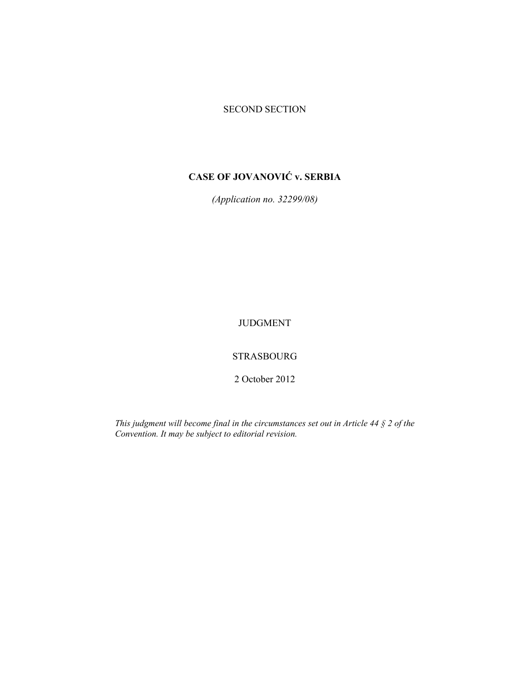### SECOND SECTION

# **CASE OF JOVANOVIĆ v. SERBIA**

*(Application no. 32299/08)* 

JUDGMENT

STRASBOURG

2 October 2012

*This judgment will become final in the circumstances set out in Article 44 § 2 of the Convention. It may be subject to editorial revision.*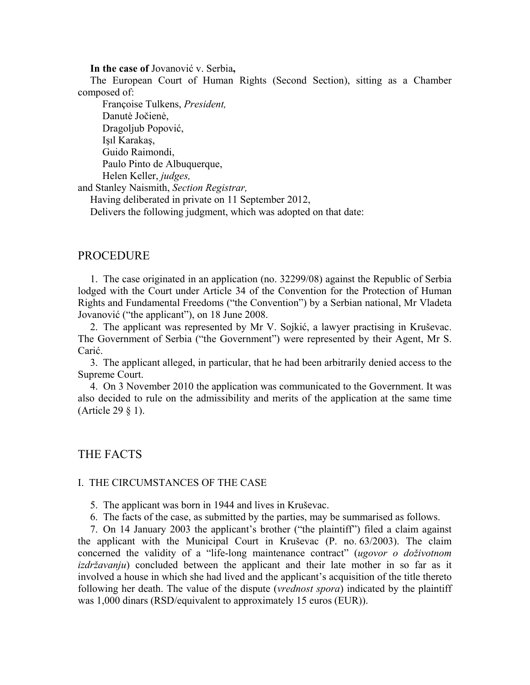**In the case of** Jovanović v. Serbia**,** 

The European Court of Human Rights (Second Section), sitting as a Chamber composed of:

 Françoise Tulkens, *President,*  Danutė Jočienė, Dragoljub Popović, Işıl Karakaş, Guido Raimondi, Paulo Pinto de Albuquerque, Helen Keller, *judges,* and Stanley Naismith, *Section Registrar,* Having deliberated in private on 11 September 2012,

Delivers the following judgment, which was adopted on that date:

### PROCEDURE

1. The case originated in an application (no. 32299/08) against the Republic of Serbia lodged with the Court under Article 34 of the Convention for the Protection of Human Rights and Fundamental Freedoms ("the Convention") by a Serbian national, Mr Vladeta Jovanović ("the applicant"), on 18 June 2008.

2. The applicant was represented by Mr V. Sojkić, a lawyer practising in Kruševac. The Government of Serbia ("the Government") were represented by their Agent, Mr S. Carić.

3. The applicant alleged, in particular, that he had been arbitrarily denied access to the Supreme Court.

4. On 3 November 2010 the application was communicated to the Government. It was also decided to rule on the admissibility and merits of the application at the same time (Article 29 § 1).

THE FACTS

#### I. THE CIRCUMSTANCES OF THE CASE

5. The applicant was born in 1944 and lives in Kruševac.

6. The facts of the case, as submitted by the parties, may be summarised as follows.

7. On 14 January 2003 the applicant's brother ("the plaintiff") filed a claim against the applicant with the Municipal Court in Kruševac (P. no. 63/2003). The claim concerned the validity of a "life-long maintenance contract" (*ugovor o doživotnom izdržavanju*) concluded between the applicant and their late mother in so far as it involved a house in which she had lived and the applicant's acquisition of the title thereto following her death. The value of the dispute (*vrednost spora*) indicated by the plaintiff was 1,000 dinars (RSD/equivalent to approximately 15 euros (EUR)).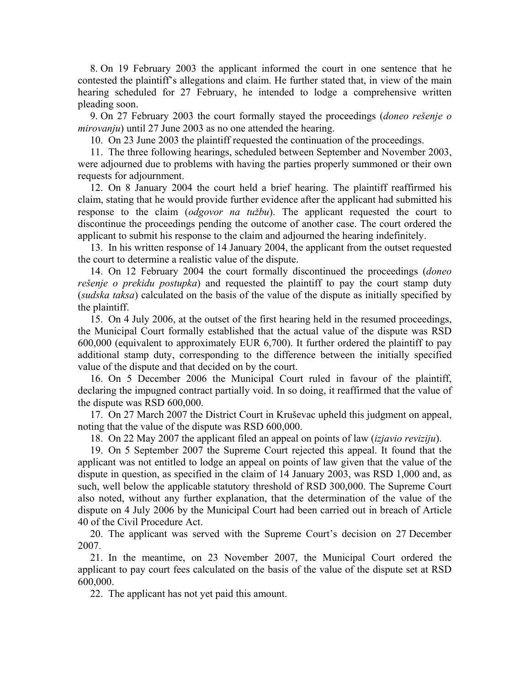8. On 19 February 2003 the applicant informed the court in one sentence that he contested the plaintiff's allegations and claim. He further stated that, in view of the main hearing scheduled for 27 February, he intended to lodge a comprehensive written pleading soon.

9. On 27 February 2003 the court formally stayed the proceedings (*doneo rešenje o mirovanju*) until 27 June 2003 as no one attended the hearing.

10. On 23 June 2003 the plaintiff requested the continuation of the proceedings.

11. The three following hearings, scheduled between September and November 2003, were adjourned due to problems with having the parties properly summoned or their own requests for adjournment.

12. On 8 January 2004 the court held a brief hearing. The plaintiff reaffirmed his claim, stating that he would provide further evidence after the applicant had submitted his response to the claim (*odgovor na tužbu*). The applicant requested the court to discontinue the proceedings pending the outcome of another case. The court ordered the applicant to submit his response to the claim and adjourned the hearing indefinitely.

13. In his written response of 14 January 2004, the applicant from the outset requested the court to determine a realistic value of the dispute.

14. On 12 February 2004 the court formally discontinued the proceedings (*doneo rešenje o prekidu postupka*) and requested the plaintiff to pay the court stamp duty (*sudska taksa*) calculated on the basis of the value of the dispute as initially specified by the plaintiff.

15. On 4 July 2006, at the outset of the first hearing held in the resumed proceedings, the Municipal Court formally established that the actual value of the dispute was RSD 600,000 (equivalent to approximately EUR 6,700). It further ordered the plaintiff to pay additional stamp duty, corresponding to the difference between the initially specified value of the dispute and that decided on by the court.

16. On 5 December 2006 the Municipal Court ruled in favour of the plaintiff, declaring the impugned contract partially void. In so doing, it reaffirmed that the value of the dispute was RSD 600,000.

17. On 27 March 2007 the District Court in Kruševac upheld this judgment on appeal, noting that the value of the dispute was RSD 600,000.

18. On 22 May 2007 the applicant filed an appeal on points of law (*izjavio reviziju*).

19. On 5 September 2007 the Supreme Court rejected this appeal. It found that the applicant was not entitled to lodge an appeal on points of law given that the value of the dispute in question, as specified in the claim of 14 January 2003, was RSD 1,000 and, as such, well below the applicable statutory threshold of RSD 300,000. The Supreme Court also noted, without any further explanation, that the determination of the value of the dispute on 4 July 2006 by the Municipal Court had been carried out in breach of Article 40 of the Civil Procedure Act.

20. The applicant was served with the Supreme Court's decision on 27 December 2007.

21. In the meantime, on 23 November 2007, the Municipal Court ordered the applicant to pay court fees calculated on the basis of the value of the dispute set at RSD 600,000.

22. The applicant has not yet paid this amount.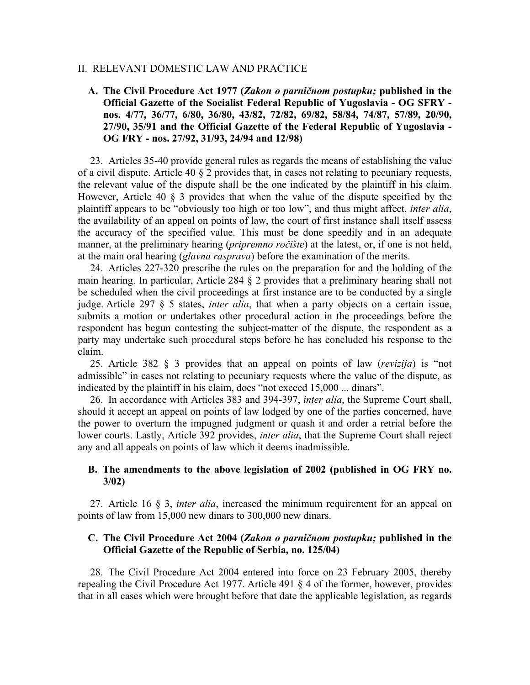### II. RELEVANT DOMESTIC LAW AND PRACTICE

### **A. The Civil Procedure Act 1977 (***Zakon o parničnom postupku;* **published in the Official Gazette of the Socialist Federal Republic of Yugoslavia - OG SFRY nos. 4/77, 36/77, 6/80, 36/80, 43/82, 72/82, 69/82, 58/84, 74/87, 57/89, 20/90, 27/90, 35/91 and the Official Gazette of the Federal Republic of Yugoslavia - OG FRY - nos. 27/92, 31/93, 24/94 and 12/98)**

23. Articles 35-40 provide general rules as regards the means of establishing the value of a civil dispute. Article 40 § 2 provides that, in cases not relating to pecuniary requests, the relevant value of the dispute shall be the one indicated by the plaintiff in his claim. However, Article 40 § 3 provides that when the value of the dispute specified by the plaintiff appears to be "obviously too high or too low", and thus might affect, *inter alia*, the availability of an appeal on points of law, the court of first instance shall itself assess the accuracy of the specified value. This must be done speedily and in an adequate manner, at the preliminary hearing (*pripremno ročište*) at the latest, or, if one is not held, at the main oral hearing (*glavna rasprava*) before the examination of the merits.

24. Articles 227-320 prescribe the rules on the preparation for and the holding of the main hearing. In particular, Article 284 § 2 provides that a preliminary hearing shall not be scheduled when the civil proceedings at first instance are to be conducted by a single judge. Article 297 § 5 states, *inter alia*, that when a party objects on a certain issue, submits a motion or undertakes other procedural action in the proceedings before the respondent has begun contesting the subject-matter of the dispute, the respondent as a party may undertake such procedural steps before he has concluded his response to the claim.

25. Article 382 § 3 provides that an appeal on points of law (*revizija*) is "not admissible" in cases not relating to pecuniary requests where the value of the dispute, as indicated by the plaintiff in his claim, does "not exceed 15,000 ... dinars".

26. In accordance with Articles 383 and 394-397, *inter alia*, the Supreme Court shall, should it accept an appeal on points of law lodged by one of the parties concerned, have the power to overturn the impugned judgment or quash it and order a retrial before the lower courts. Lastly, Article 392 provides, *inter alia*, that the Supreme Court shall reject any and all appeals on points of law which it deems inadmissible.

### **B. The amendments to the above legislation of 2002 (published in OG FRY no. 3/02)**

27. Article 16 § 3, *inter alia*, increased the minimum requirement for an appeal on points of law from 15,000 new dinars to 300,000 new dinars.

### **C. The Civil Procedure Act 2004 (***Zakon o parničnom postupku;* **published in the Official Gazette of the Republic of Serbia, no. 125/04)**

28. The Civil Procedure Act 2004 entered into force on 23 February 2005, thereby repealing the Civil Procedure Act 1977. Article 491 § 4 of the former, however, provides that in all cases which were brought before that date the applicable legislation, as regards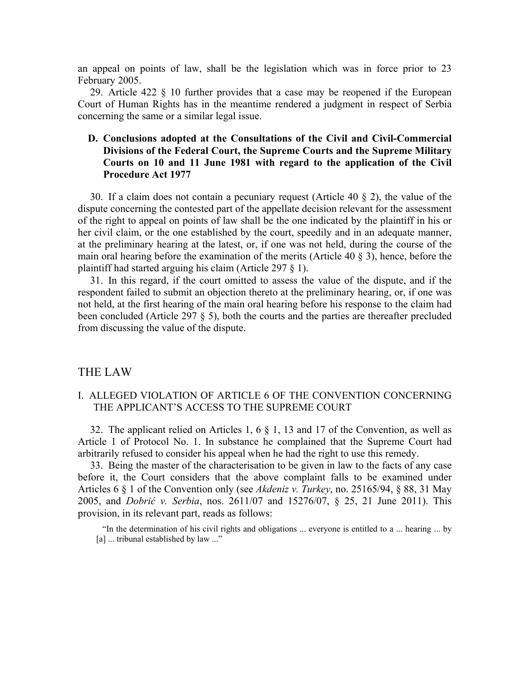an appeal on points of law, shall be the legislation which was in force prior to 23 February 2005.

29. Article 422 § 10 further provides that a case may be reopened if the European Court of Human Rights has in the meantime rendered a judgment in respect of Serbia concerning the same or a similar legal issue.

### **D. Conclusions adopted at the Consultations of the Civil and Civil-Commercial Divisions of the Federal Court, the Supreme Courts and the Supreme Military Courts on 10 and 11 June 1981 with regard to the application of the Civil Procedure Act 1977**

30. If a claim does not contain a pecuniary request (Article 40 § 2), the value of the dispute concerning the contested part of the appellate decision relevant for the assessment of the right to appeal on points of law shall be the one indicated by the plaintiff in his or her civil claim, or the one established by the court, speedily and in an adequate manner, at the preliminary hearing at the latest, or, if one was not held, during the course of the main oral hearing before the examination of the merits (Article 40 § 3), hence, before the plaintiff had started arguing his claim (Article 297 § 1).

31. In this regard, if the court omitted to assess the value of the dispute, and if the respondent failed to submit an objection thereto at the preliminary hearing, or, if one was not held, at the first hearing of the main oral hearing before his response to the claim had been concluded (Article 297 § 5), both the courts and the parties are thereafter precluded from discussing the value of the dispute.

### THE LAW

### I. ALLEGED VIOLATION OF ARTICLE 6 OF THE CONVENTION CONCERNING THE APPLICANT'S ACCESS TO THE SUPREME COURT

32. The applicant relied on Articles 1, 6 § 1, 13 and 17 of the Convention, as well as Article 1 of Protocol No. 1. In substance he complained that the Supreme Court had arbitrarily refused to consider his appeal when he had the right to use this remedy.

33. Being the master of the characterisation to be given in law to the facts of any case before it, the Court considers that the above complaint falls to be examined under Articles 6 § 1 of the Convention only (see *Akdeniz v. Turkey*, no. 25165/94, § 88, 31 May 2005, and *Dobrić v. Serbia*, nos. 2611/07 and 15276/07, § 25, 21 June 2011). This provision, in its relevant part, reads as follows:

"In the determination of his civil rights and obligations ... everyone is entitled to a ... hearing ... by [a] ... tribunal established by law ..."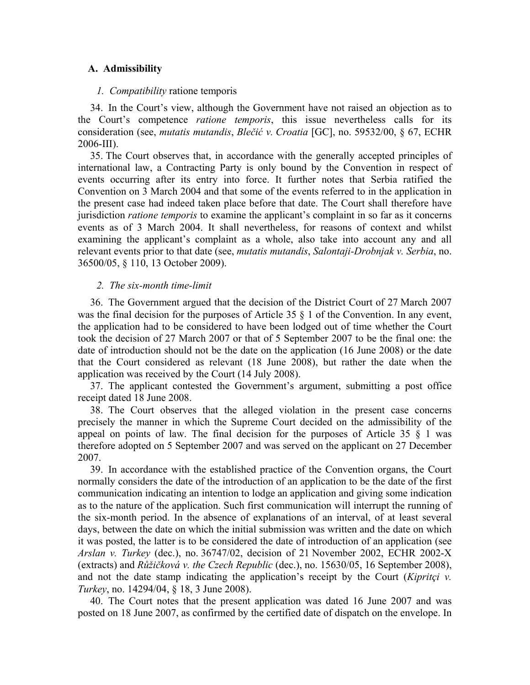### **A. Admissibility**

### *1. Compatibility* ratione temporis

34. In the Court's view, although the Government have not raised an objection as to the Court's competence *ratione temporis*, this issue nevertheless calls for its consideration (see, *mutatis mutandis*, *Blečić v. Croatia* [GC], no. 59532/00, § 67, ECHR 2006-III).

35. The Court observes that, in accordance with the generally accepted principles of international law, a Contracting Party is only bound by the Convention in respect of events occurring after its entry into force. It further notes that Serbia ratified the Convention on 3 March 2004 and that some of the events referred to in the application in the present case had indeed taken place before that date. The Court shall therefore have jurisdiction *ratione temporis* to examine the applicant's complaint in so far as it concerns events as of 3 March 2004. It shall nevertheless, for reasons of context and whilst examining the applicant's complaint as a whole, also take into account any and all relevant events prior to that date (see, *mutatis mutandis*, *Salontaji-Drobnjak v. Serbia*, no. 36500/05, § 110, 13 October 2009).

### *2. The six-month time-limit*

36. The Government argued that the decision of the District Court of 27 March 2007 was the final decision for the purposes of Article 35 § 1 of the Convention. In any event, the application had to be considered to have been lodged out of time whether the Court took the decision of 27 March 2007 or that of 5 September 2007 to be the final one: the date of introduction should not be the date on the application (16 June 2008) or the date that the Court considered as relevant (18 June 2008), but rather the date when the application was received by the Court (14 July 2008).

37. The applicant contested the Government's argument, submitting a post office receipt dated 18 June 2008.

38. The Court observes that the alleged violation in the present case concerns precisely the manner in which the Supreme Court decided on the admissibility of the appeal on points of law. The final decision for the purposes of Article  $35 \tbinom{8}{1}$  was therefore adopted on 5 September 2007 and was served on the applicant on 27 December 2007.

39. In accordance with the established practice of the Convention organs, the Court normally considers the date of the introduction of an application to be the date of the first communication indicating an intention to lodge an application and giving some indication as to the nature of the application. Such first communication will interrupt the running of the six-month period. In the absence of explanations of an interval, of at least several days, between the date on which the initial submission was written and the date on which it was posted, the latter is to be considered the date of introduction of an application (see *Arslan v. Turkey* (dec.), no. 36747/02, decision of 21 November 2002, ECHR 2002-X (extracts) and *Růžičková v. the Czech Republic* (dec.), no. 15630/05, 16 September 2008), and not the date stamp indicating the application's receipt by the Court (*Kipritçi v. Turkey*, no. 14294/04, § 18, 3 June 2008).

40. The Court notes that the present application was dated 16 June 2007 and was posted on 18 June 2007, as confirmed by the certified date of dispatch on the envelope. In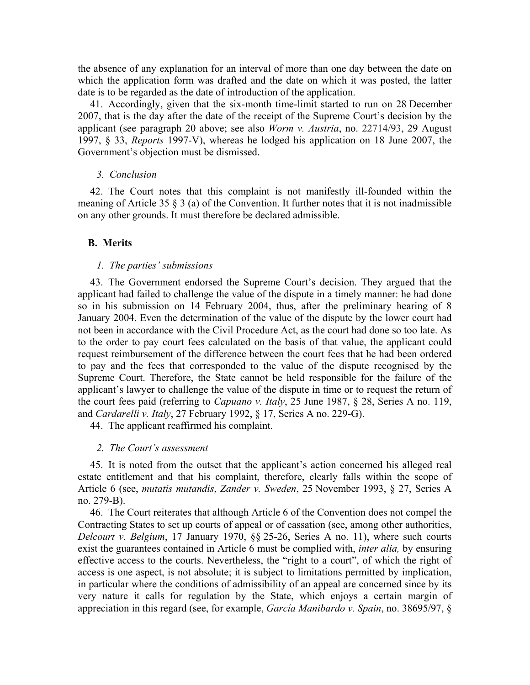the absence of any explanation for an interval of more than one day between the date on which the application form was drafted and the date on which it was posted, the latter date is to be regarded as the date of introduction of the application.

41. Accordingly, given that the six-month time-limit started to run on 28 December 2007, that is the day after the date of the receipt of the Supreme Court's decision by the applicant (see paragraph 20 above; see also *Worm v. Austria*, no. 22714/93, 29 August 1997, § 33, *Reports* 1997-V), whereas he lodged his application on 18 June 2007, the Government's objection must be dismissed.

#### *3. Conclusion*

42. The Court notes that this complaint is not manifestly ill-founded within the meaning of Article 35  $\S$  3 (a) of the Convention. It further notes that it is not inadmissible on any other grounds. It must therefore be declared admissible.

#### **B. Merits**

#### *1. The parties' submissions*

43. The Government endorsed the Supreme Court's decision. They argued that the applicant had failed to challenge the value of the dispute in a timely manner: he had done so in his submission on 14 February 2004, thus, after the preliminary hearing of 8 January 2004. Even the determination of the value of the dispute by the lower court had not been in accordance with the Civil Procedure Act, as the court had done so too late. As to the order to pay court fees calculated on the basis of that value, the applicant could request reimbursement of the difference between the court fees that he had been ordered to pay and the fees that corresponded to the value of the dispute recognised by the Supreme Court. Therefore, the State cannot be held responsible for the failure of the applicant's lawyer to challenge the value of the dispute in time or to request the return of the court fees paid (referring to *Capuano v. Italy*, 25 June 1987, § 28, Series A no. 119, and *Cardarelli v. Italy*, 27 February 1992, § 17, Series A no. 229-G).

44. The applicant reaffirmed his complaint.

#### *2. The Court's assessment*

45. It is noted from the outset that the applicant's action concerned his alleged real estate entitlement and that his complaint, therefore, clearly falls within the scope of Article 6 (see, *mutatis mutandis*, *Zander v. Sweden*, 25 November 1993, § 27, Series A no. 279-B).

46. The Court reiterates that although Article 6 of the Convention does not compel the Contracting States to set up courts of appeal or of cassation (see, among other authorities, *Delcourt v. Belgium*, 17 January 1970, §§ 25-26, Series A no. 11), where such courts exist the guarantees contained in Article 6 must be complied with, *inter alia,* by ensuring effective access to the courts. Nevertheless, the "right to a court", of which the right of access is one aspect, is not absolute; it is subject to limitations permitted by implication, in particular where the conditions of admissibility of an appeal are concerned since by its very nature it calls for regulation by the State, which enjoys a certain margin of appreciation in this regard (see, for example, *García Manibardo v. Spain*, no. 38695/97, §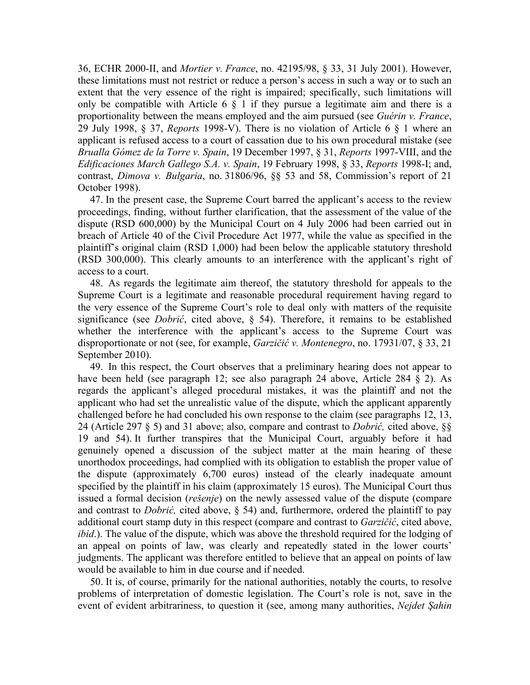36, ECHR 2000-II, and *Mortier v. France*, no. 42195/98, § 33, 31 July 2001). However, these limitations must not restrict or reduce a person's access in such a way or to such an extent that the very essence of the right is impaired; specifically, such limitations will only be compatible with Article 6  $\S$  1 if they pursue a legitimate aim and there is a proportionality between the means employed and the aim pursued (see *Guérin v. France*, 29 July 1998, § 37, *Reports* 1998-V). There is no violation of Article 6 § 1 where an applicant is refused access to a court of cassation due to his own procedural mistake (see *Brualla Gómez de la Torre v. Spain*, 19 December 1997, § 31, *Reports* 1997-VIII, and the *Edificaciones March Gallego S.A. v. Spain*, 19 February 1998, § 33, *Reports* 1998-I; and, contrast, *Dimova v. Bulgaria*, no. 31806/96, §§ 53 and 58, Commission's report of 21 October 1998).

47. In the present case, the Supreme Court barred the applicant's access to the review proceedings, finding, without further clarification, that the assessment of the value of the dispute (RSD 600,000) by the Municipal Court on 4 July 2006 had been carried out in breach of Article 40 of the Civil Procedure Act 1977, while the value as specified in the plaintiff's original claim (RSD 1,000) had been below the applicable statutory threshold (RSD 300,000). This clearly amounts to an interference with the applicant's right of access to a court.

48. As regards the legitimate aim thereof, the statutory threshold for appeals to the Supreme Court is a legitimate and reasonable procedural requirement having regard to the very essence of the Supreme Court's role to deal only with matters of the requisite significance (see *Dobrić*, cited above, § 54). Therefore, it remains to be established whether the interference with the applicant's access to the Supreme Court was disproportionate or not (see, for example, *Garzičić v. Montenegro*, no. 17931/07, § 33, 21 September 2010).

49. In this respect, the Court observes that a preliminary hearing does not appear to have been held (see paragraph 12; see also paragraph 24 above, Article 284 § 2). As regards the applicant's alleged procedural mistakes, it was the plaintiff and not the applicant who had set the unrealistic value of the dispute, which the applicant apparently challenged before he had concluded his own response to the claim (see paragraphs 12, 13, 24 (Article 297 § 5) and 31 above; also, compare and contrast to *Dobrić,* cited above, §§ 19 and 54). It further transpires that the Municipal Court, arguably before it had genuinely opened a discussion of the subject matter at the main hearing of these unorthodox proceedings, had complied with its obligation to establish the proper value of the dispute (approximately 6,700 euros) instead of the clearly inadequate amount specified by the plaintiff in his claim (approximately 15 euros). The Municipal Court thus issued a formal decision (*rešenje*) on the newly assessed value of the dispute (compare and contrast to *Dobrić,* cited above, § 54) and, furthermore, ordered the plaintiff to pay additional court stamp duty in this respect (compare and contrast to *Garzičić*, cited above, *ibid*.). The value of the dispute, which was above the threshold required for the lodging of an appeal on points of law, was clearly and repeatedly stated in the lower courts' judgments. The applicant was therefore entitled to believe that an appeal on points of law would be available to him in due course and if needed.

50. It is, of course, primarily for the national authorities, notably the courts, to resolve problems of interpretation of domestic legislation. The Court's role is not, save in the event of evident arbitrariness, to question it (see, among many authorities, *Nejdet Şahin*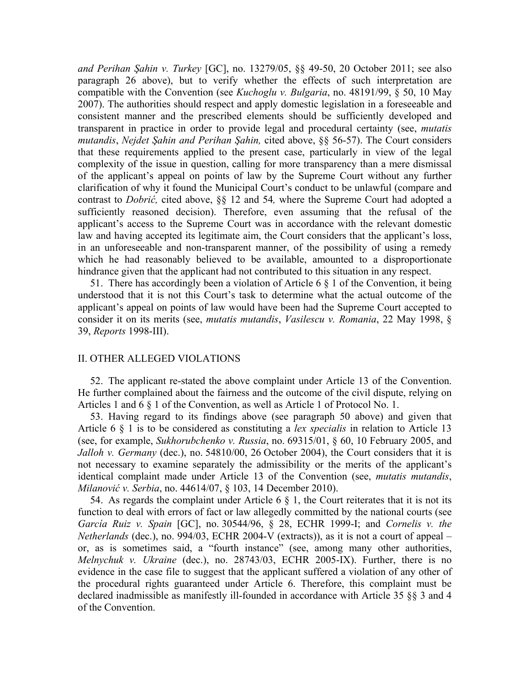*and Perihan Şahin v. Turkey* [GC], no. 13279/05, §§ 49-50, 20 October 2011; see also paragraph 26 above), but to verify whether the effects of such interpretation are compatible with the Convention (see *Kuchoglu v. Bulgaria*, no. 48191/99, § 50, 10 May 2007). The authorities should respect and apply domestic legislation in a foreseeable and consistent manner and the prescribed elements should be sufficiently developed and transparent in practice in order to provide legal and procedural certainty (see, *mutatis mutandis*, *Nejdet Şahin and Perihan Şahin,* cited above, §§ 56-57). The Court considers that these requirements applied to the present case, particularly in view of the legal complexity of the issue in question, calling for more transparency than a mere dismissal of the applicant's appeal on points of law by the Supreme Court without any further clarification of why it found the Municipal Court's conduct to be unlawful (compare and contrast to *Dobrić,* cited above, §§ 12 and 54*,* where the Supreme Court had adopted a sufficiently reasoned decision). Therefore, even assuming that the refusal of the applicant's access to the Supreme Court was in accordance with the relevant domestic law and having accepted its legitimate aim, the Court considers that the applicant's loss, in an unforeseeable and non-transparent manner, of the possibility of using a remedy which he had reasonably believed to be available, amounted to a disproportionate hindrance given that the applicant had not contributed to this situation in any respect.

51. There has accordingly been a violation of Article 6  $\S$  1 of the Convention, it being understood that it is not this Court's task to determine what the actual outcome of the applicant's appeal on points of law would have been had the Supreme Court accepted to consider it on its merits (see, *mutatis mutandis*, *Vasilescu v. Romania*, 22 May 1998, § 39, *Reports* 1998-III).

### II. OTHER ALLEGED VIOLATIONS

52. The applicant re-stated the above complaint under Article 13 of the Convention. He further complained about the fairness and the outcome of the civil dispute, relying on Articles 1 and 6 § 1 of the Convention, as well as Article 1 of Protocol No. 1.

53. Having regard to its findings above (see paragraph 50 above) and given that Article 6 § 1 is to be considered as constituting a *lex specialis* in relation to Article 13 (see, for example, *Sukhorubchenko v. Russia*, no. 69315/01, § 60, 10 February 2005, and *Jalloh v. Germany* (dec.), no. 54810/00, 26 October 2004), the Court considers that it is not necessary to examine separately the admissibility or the merits of the applicant's identical complaint made under Article 13 of the Convention (see, *mutatis mutandis*, *Milanović v. Serbia*, no. 44614/07, § 103, 14 December 2010).

54. As regards the complaint under Article 6  $\&$  1, the Court reiterates that it is not its function to deal with errors of fact or law allegedly committed by the national courts (see *García Ruiz v. Spain* [GC], no. 30544/96, § 28, ECHR 1999-I; and *Cornelis v. the Netherlands* (dec.), no. 994/03, ECHR 2004-V (extracts)), as it is not a court of appeal – or, as is sometimes said, a "fourth instance" (see, among many other authorities, *Melnychuk v. Ukraine* (dec.), no. 28743/03, ECHR 2005-IX). Further, there is no evidence in the case file to suggest that the applicant suffered a violation of any other of the procedural rights guaranteed under Article 6. Therefore, this complaint must be declared inadmissible as manifestly ill-founded in accordance with Article 35 §§ 3 and 4 of the Convention.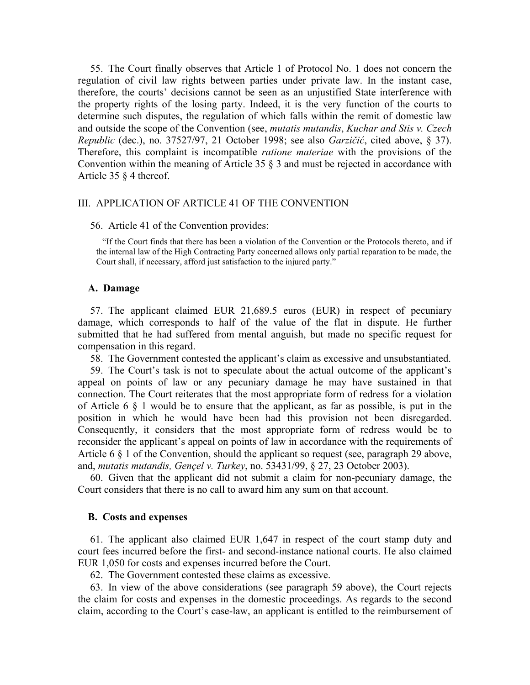55. The Court finally observes that Article 1 of Protocol No. 1 does not concern the regulation of civil law rights between parties under private law. In the instant case, therefore, the courts' decisions cannot be seen as an unjustified State interference with the property rights of the losing party. Indeed, it is the very function of the courts to determine such disputes, the regulation of which falls within the remit of domestic law and outside the scope of the Convention (see, *mutatis mutandis*, *Kuchar and Stis v. Czech Republic* (dec.), no. 37527/97, 21 October 1998; see also *Garzičić*, cited above, § 37). Therefore, this complaint is incompatible *ratione materiae* with the provisions of the Convention within the meaning of Article 35 § 3 and must be rejected in accordance with Article 35 § 4 thereof.

#### III. APPLICATION OF ARTICLE 41 OF THE CONVENTION

#### 56. Article 41 of the Convention provides:

"If the Court finds that there has been a violation of the Convention or the Protocols thereto, and if the internal law of the High Contracting Party concerned allows only partial reparation to be made, the Court shall, if necessary, afford just satisfaction to the injured party."

#### **A. Damage**

57. The applicant claimed EUR 21,689.5 euros (EUR) in respect of pecuniary damage, which corresponds to half of the value of the flat in dispute. He further submitted that he had suffered from mental anguish, but made no specific request for compensation in this regard.

58. The Government contested the applicant's claim as excessive and unsubstantiated.

59. The Court's task is not to speculate about the actual outcome of the applicant's appeal on points of law or any pecuniary damage he may have sustained in that connection. The Court reiterates that the most appropriate form of redress for a violation of Article 6 § 1 would be to ensure that the applicant, as far as possible, is put in the position in which he would have been had this provision not been disregarded. Consequently, it considers that the most appropriate form of redress would be to reconsider the applicant's appeal on points of law in accordance with the requirements of Article 6 § 1 of the Convention, should the applicant so request (see, paragraph 29 above, and, *mutatis mutandis, Gençel v. Turkey*, no. 53431/99, § 27, 23 October 2003).

60. Given that the applicant did not submit a claim for non-pecuniary damage, the Court considers that there is no call to award him any sum on that account.

### **B. Costs and expenses**

61. The applicant also claimed EUR 1,647 in respect of the court stamp duty and court fees incurred before the first- and second-instance national courts. He also claimed EUR 1,050 for costs and expenses incurred before the Court.

62. The Government contested these claims as excessive.

63. In view of the above considerations (see paragraph 59 above), the Court rejects the claim for costs and expenses in the domestic proceedings. As regards to the second claim, according to the Court's case-law, an applicant is entitled to the reimbursement of